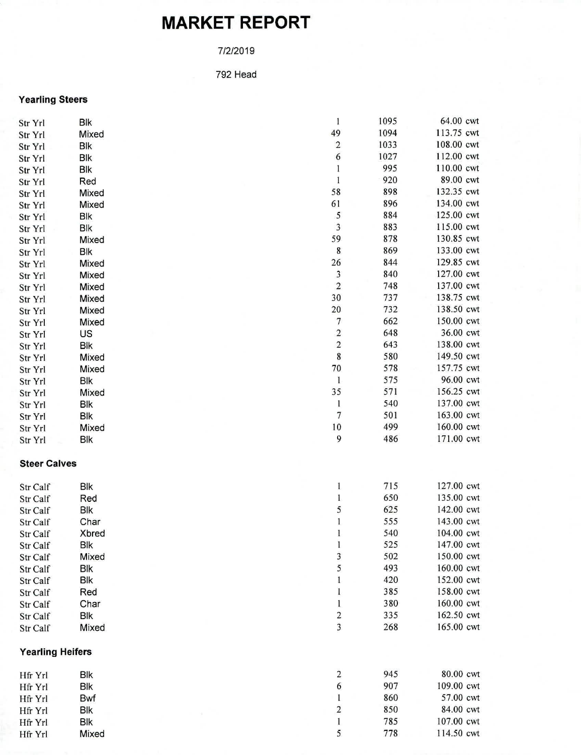## **MARKET REPORT**

## 7/2/2019

792 Head

## **Yearling Steers**

| Str Yrl                 | <b>Blk</b>   |  | 1                       | 1095 | 64.00 cwt  |
|-------------------------|--------------|--|-------------------------|------|------------|
| Str Yrl                 | Mixed        |  | 49                      | 1094 | 113.75 cwt |
| Str Yrl                 | <b>Blk</b>   |  | $\sqrt{2}$              | 1033 | 108.00 cwt |
| Str Yrl                 | Blk          |  | 6                       | 1027 | 112.00 cwt |
| Str Yrl                 | Blk          |  | $\mathbf{1}$            | 995  | 110.00 cwt |
| Str Yrl                 | Red          |  | $\bf{l}$                | 920  | 89.00 cwt  |
| Str Yrl                 | Mixed        |  | 58                      | 898  | 132.35 cwt |
| Str Yrl                 | Mixed        |  | 61                      | 896  | 134.00 cwt |
| Str Yrl                 | Blk          |  | 5                       | 884  | 125.00 cwt |
| Str Yrl                 | <b>Blk</b>   |  | 3                       | 883  | 115.00 cwt |
| Str Yrl                 | Mixed        |  | 59                      | 878  | 130.85 cwt |
| Str Yrl                 | Blk          |  | 8                       | 869  | 133.00 cwt |
| Str Yrl                 | Mixed        |  | 26                      | 844  | 129.85 cwt |
| Str Yrl                 | Mixed        |  | 3                       | 840  | 127.00 cwt |
| Str Yrl                 | Mixed        |  | $\sqrt{2}$              | 748  | 137.00 cwt |
| Str Yrl                 | Mixed        |  | 30                      | 737  | 138.75 cwt |
| Str Yrl                 | Mixed        |  | 20                      | 732  | 138.50 cwt |
| Str Yrl                 | Mixed        |  | 7                       | 662  | 150.00 cwt |
| Str Yrl                 | US           |  | $\sqrt{2}$              | 648  | 36.00 cwt  |
| Str Yrl                 | <b>Blk</b>   |  | $\overline{c}$          | 643  | 138.00 cwt |
| Str Yrl                 | Mixed        |  | 8                       | 580  | 149.50 cwt |
| Str Yrl                 | Mixed        |  | 70                      | 578  | 157.75 cwt |
| Str Yrl                 | Blk          |  | $\mathbf{1}$            | 575  | 96.00 cwt  |
| Str Yrl                 | Mixed        |  | 35                      | 571  | 156.25 cwt |
| Str Yrl                 | Blk          |  | $\mathbf{1}$            | 540  | 137.00 cwt |
| Str Yrl                 | Blk          |  | $\boldsymbol{7}$        | 501  | 163.00 cwt |
| Str Yrl                 | Mixed        |  | $10\,$                  | 499  | 160.00 cwt |
| Str Yrl                 | Blk          |  | 9                       | 486  | 171.00 cwt |
| <b>Steer Calves</b>     |              |  |                         |      |            |
| Str Calf                | <b>Blk</b>   |  | $\mathbf{1}$            | 715  | 127.00 cwt |
| Str Calf                | Red          |  | $\mathbf{1}$            | 650  | 135.00 cwt |
| Str Calf                | <b>Blk</b>   |  | 5                       | 625  | 142.00 cwt |
| Str Calf                | Char         |  | $\mathbf 1$             | 555  | 143.00 cwt |
| Str Calf                | <b>Xbred</b> |  | 1                       | 540  | 104.00 cwt |
| Str Calf                | <b>Blk</b>   |  | $\mathbf{1}$            | 525  | 147.00 cwt |
| Str Calf                | Mixed        |  | 3                       | 502  | 150.00 cwt |
| Str Calf                | Blk          |  | 5                       | 493  | 160.00 cwt |
| Str Calf                | Blk          |  | $\mathbf{1}$            | 420  | 152.00 cwt |
| Str Calf                | Red          |  | 1                       | 385  | 158.00 cwt |
| Str Calf                | Char         |  | 1                       | 380  | 160.00 cwt |
| Str Calf                | Blk          |  | $\boldsymbol{2}$        | 335  | 162.50 cwt |
| Str Calf                | Mixed        |  | 3                       | 268  | 165.00 cwt |
| <b>Yearling Heifers</b> |              |  |                         |      |            |
| Hfr Yrl                 | Blk          |  | $\overline{\mathbf{c}}$ | 945  | 80.00 cwt  |
| Hfr Yrl                 | <b>Blk</b>   |  | 6                       | 907  | 109.00 cwt |
| Hfr Yrl                 | Bwf          |  | $\mathbf{1}$            | 860  | 57.00 cwt  |
| Hfr Yrl                 | <b>Blk</b>   |  | $\sqrt{2}$              | 850  | 84.00 cwt  |
| Hfr Yrl                 | Blk          |  | $\mathbf{1}$            | 785  | 107.00 cwt |
| Hfr Yrl                 | Mixed        |  | 5                       | 778  | 114.50 cwt |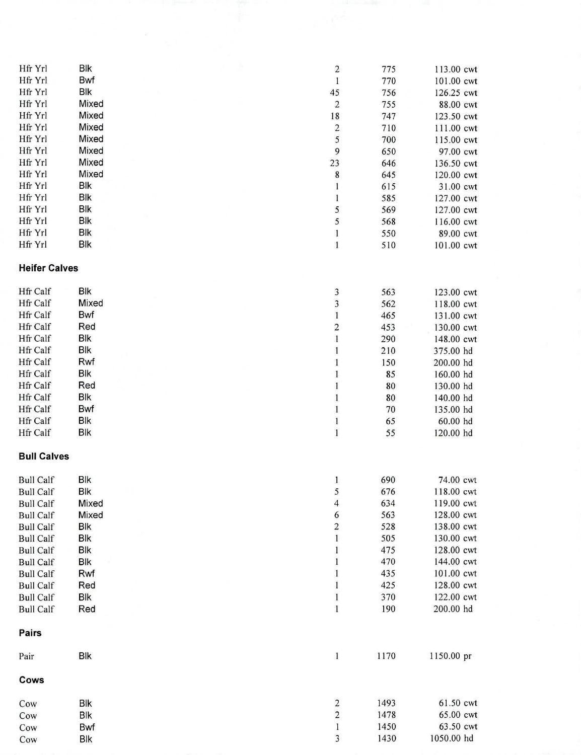| Hfr Yrl              | Blk        |  | $\overline{\mathbf{c}}$                                                      | 775  | 113.00 cwt |
|----------------------|------------|--|------------------------------------------------------------------------------|------|------------|
| Hfr Yrl              | Bwf        |  | $\mathbf{1}$                                                                 | 770  | 101.00 cwt |
| Hfr Yrl              | Blk        |  | 45                                                                           | 756  | 126.25 cwt |
| Hfr Yrl              | Mixed      |  | $\mathbf 2$                                                                  | 755  | 88.00 cwt  |
| Hfr Yrl              | Mixed      |  | 18                                                                           | 747  | 123.50 cwt |
| Hfr Yrl              | Mixed      |  | $\overline{\mathbf{c}}$                                                      | 710  | 111.00 cwt |
| Hfr Yrl              | Mixed      |  | 5                                                                            | 700  | 115.00 cwt |
| Hfr Yrl              | Mixed      |  | 9                                                                            | 650  | 97.00 cwt  |
| Hfr Yrl              | Mixed      |  | 23                                                                           | 646  | 136.50 cwt |
| Hfr Yrl              | Mixed      |  | $\bf 8$                                                                      | 645  | 120.00 cwt |
| Hfr Yrl              | <b>Blk</b> |  | $\mathbf{1}$                                                                 | 615  | 31.00 cwt  |
| Hfr Yrl              | <b>Blk</b> |  | $\mathbf{1}$                                                                 | 585  | 127.00 cwt |
| Hfr Yrl              | Blk        |  | 5                                                                            | 569  | 127.00 cwt |
| Hfr Yrl              | <b>Blk</b> |  | 5                                                                            | 568  | 116.00 cwt |
| Hfr Yrl              | <b>Blk</b> |  | $\mathbf{1}$                                                                 | 550  | 89.00 cwt  |
| Hfr Yrl              | <b>Blk</b> |  | $\mathbf{1}$                                                                 | 510  | 101.00 cwt |
| <b>Heifer Calves</b> |            |  |                                                                              |      |            |
|                      |            |  |                                                                              |      |            |
| Hfr Calf             | <b>Blk</b> |  | 3                                                                            | 563  | 123.00 cwt |
| Hfr Calf             | Mixed      |  | $\overline{\mathbf{3}}$                                                      | 562  | 118.00 cwt |
| <b>Hfr Calf</b>      | Bwf        |  | $\mathbf{1}$                                                                 | 465  | 131.00 cwt |
| Hfr Calf             | Red        |  | $\overline{\mathbf{c}}$                                                      | 453  | 130.00 cwt |
| Hfr Calf             | Blk        |  | $\mathbf{1}% _{i}\left  i\right\rangle =\mathbf{1}_{i}\left  i\right\rangle$ | 290  | 148.00 cwt |
| Hfr Calf             | <b>Blk</b> |  | $\mathbf{1}$                                                                 | 210  | 375.00 hd  |
| Hfr Calf             | Rwf        |  | $\mathbf{1}$                                                                 | 150  | 200.00 hd  |
| Hfr Calf             | Blk        |  | $\bf{l}$                                                                     | 85   | 160.00 hd  |
| <b>Hfr Calf</b>      | Red        |  | $\mathbf{1}% _{T}=\mathbf{1}_{T}\times\mathbf{1}_{T}$                        | 80   | 130.00 hd  |
| Hfr Calf             | Blk        |  | $\mathbf{1}$                                                                 | 80   | 140.00 hd  |
| Hfr Calf             | Bwf        |  | $\,1$                                                                        | 70   | 135.00 hd  |
| Hfr Calf             | <b>Blk</b> |  | $\,1$                                                                        | 65   | 60.00 hd   |
| Hfr Calf             | <b>Blk</b> |  | $\mathbf 1$                                                                  | 55   | 120.00 hd  |
| <b>Bull Calves</b>   |            |  |                                                                              |      |            |
| <b>Bull Calf</b>     | <b>Blk</b> |  | 1                                                                            | 690  | 74.00 cwt  |
| <b>Bull Calf</b>     | Blk        |  | 5                                                                            | 676  | 118.00 cwt |
| <b>Bull Calf</b>     | Mixed      |  | $\overline{\mathcal{L}}$                                                     | 634  | 119.00 cwt |
| <b>Bull Calf</b>     | Mixed      |  | 6                                                                            | 563  | 128.00 cwt |
| <b>Bull Calf</b>     | Blk        |  | $\overline{\mathbf{c}}$                                                      | 528  | 138.00 cwt |
| <b>Bull Calf</b>     | Blk        |  | $\mathbf{1}% _{T}=\mathbf{1}_{T}\times\mathbf{1}_{T}$                        | 505  | 130.00 cwt |
| <b>Bull Calf</b>     | <b>Blk</b> |  | $\bf{l}$                                                                     | 475  | 128.00 cwt |
| <b>Bull Calf</b>     | <b>Blk</b> |  | $\mathbf{1}$                                                                 | 470  | 144.00 cwt |
| <b>Bull Calf</b>     | Rwf        |  | $\mathbf{1}$                                                                 | 435  | 101.00 cwt |
| <b>Bull Calf</b>     | Red        |  | $\mathbf{1}$                                                                 | 425  | 128.00 cwt |
| <b>Bull Calf</b>     | <b>Blk</b> |  | $\mathbf{1}$                                                                 | 370  | 122.00 cwt |
| <b>Bull Calf</b>     | Red        |  | $\mathbf{1}$                                                                 | 190  | 200.00 hd  |
|                      |            |  |                                                                              |      |            |
| Pairs                |            |  |                                                                              |      |            |
| Pair                 | Blk        |  | $\mathbf{1}$                                                                 | 1170 | 1150.00 pr |
| Cows                 |            |  |                                                                              |      |            |
| Cow                  | Blk        |  | $\overline{\mathbf{c}}$                                                      | 1493 | 61.50 cwt  |
| Cow                  | Blk        |  | $\overline{\mathbf{c}}$                                                      | 1478 | 65.00 cwt  |
| Cow                  | Bwf        |  | $\mathbf{1}$                                                                 | 1450 | 63.50 cwt  |
| Cow                  | <b>Blk</b> |  | 3                                                                            | 1430 | 1050.00 hd |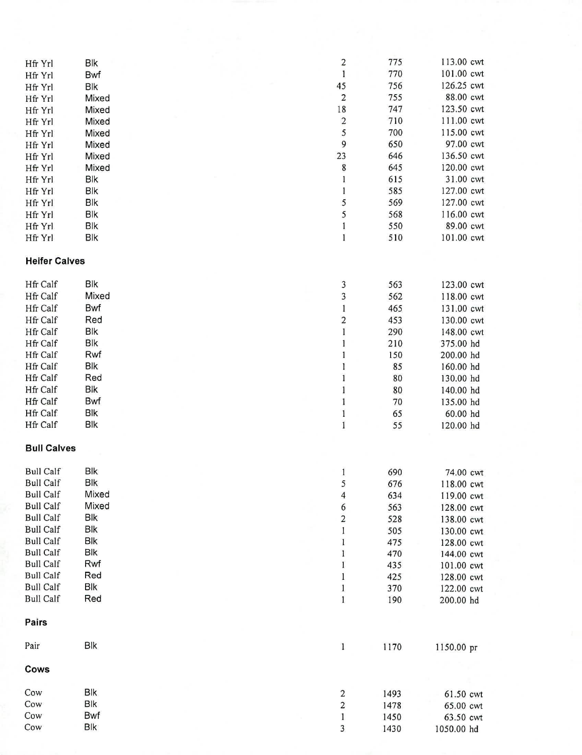| Hfr Yrl              | <b>Blk</b> |  | $\overline{\mathbf{c}}$               | 775        | 113.00 cwt              |
|----------------------|------------|--|---------------------------------------|------------|-------------------------|
| Hfr Yrl              | Bwf        |  | $\mathbf{l}$                          | 770        | 101.00 cwt              |
| Hfr Yrl              | Blk        |  | 45                                    | 756        | 126.25 cwt              |
| Hfr Yrl              | Mixed      |  | $\overline{\mathbf{c}}$               | 755        | 88.00 cwt               |
| Hfr Yrl              | Mixed      |  | 18                                    | 747        | 123.50 cwt              |
| Hfr Yrl              | Mixed      |  | $\overline{\mathbf{c}}$               | 710        | 111.00 cwt              |
| Hfr Yrl              | Mixed      |  | 5                                     | 700        | 115.00 cwt              |
| Hfr Yrl              | Mixed      |  | 9                                     | 650        | 97.00 cwt               |
| Hfr Yrl              | Mixed      |  | 23                                    | 646        | 136.50 cwt              |
| Hfr Yrl              | Mixed      |  | 8                                     | 645        | 120.00 cwt              |
| Hfr Yrl              | <b>Blk</b> |  | 1                                     | 615        | 31.00 cwt               |
| Hfr Yrl              | Blk        |  | 1                                     | 585        | 127.00 cwt              |
| Hfr Yrl              | <b>Blk</b> |  | 5                                     | 569        | 127.00 cwt              |
| Hfr Yrl              | <b>Blk</b> |  | 5                                     | 568        | 116.00 cwt              |
| Hfr Yrl              | Blk        |  | 1                                     | 550        | 89.00 cwt               |
| Hfr Yrl              | <b>Blk</b> |  | $\mathbf{I}$                          | 510        | 101.00 cwt              |
| <b>Heifer Calves</b> |            |  |                                       |            |                         |
|                      |            |  |                                       |            |                         |
| Hfr Calf             | Blk        |  | 3                                     | 563        | 123.00 cwt              |
| Hfr Calf             | Mixed      |  | 3                                     | 562        | 118.00 cwt              |
| <b>Hfr Calf</b>      | Bwf        |  | 1                                     | 465        | 131.00 cwt              |
| Hfr Calf             | Red        |  | $\overline{\mathbf{c}}$               | 453        | 130.00 cwt              |
| Hfr Calf             | <b>Blk</b> |  | $\mathbf{l}$                          | 290        | 148.00 cwt              |
| Hfr Calf             | <b>Blk</b> |  | 1                                     | 210        | 375.00 hd               |
| Hfr Calf             | Rwf        |  | 1                                     | 150        | 200.00 hd               |
| <b>Hfr Calf</b>      | Blk        |  | $\begin{array}{c} \hline \end{array}$ | 85         | 160.00 hd               |
| <b>Hfr Calf</b>      | Red        |  | $\bf{l}$                              | 80         | 130.00 hd               |
| Hfr Calf             | <b>Blk</b> |  | $\mathbf{1}$                          | 80         | 140.00 hd               |
| <b>Hfr Calf</b>      | Bwf        |  | $\mathbf{1}$                          | 70         | 135.00 hd               |
| Hfr Calf             | Blk        |  | $\,$ I                                | 65         | 60.00 hd                |
| Hfr Calf             | <b>Blk</b> |  | $\,$ I                                | 55         | 120.00 hd               |
| <b>Bull Calves</b>   |            |  |                                       |            |                         |
| <b>Bull Calf</b>     | <b>Blk</b> |  | $\mathbf{1}$                          | 690        | 74.00 cwt               |
| <b>Bull Calf</b>     | <b>Blk</b> |  | 5                                     | 676        | 118.00 cwt              |
| <b>Bull Calf</b>     | Mixed      |  | $\overline{\mathcal{L}}$              | 634        | 119.00 cwt              |
| <b>Bull Calf</b>     | Mixed      |  | 6                                     | 563        | 128.00 cwt              |
| <b>Bull Calf</b>     | Blk        |  |                                       | 528        | 138.00 cwt              |
| <b>Bull Calf</b>     | <b>Blk</b> |  | $\begin{array}{c} 2 \\ 1 \end{array}$ | 505        | 130.00 cwt              |
| <b>Bull Calf</b>     | <b>Blk</b> |  | $\mathbf{l}% _{T}=\mathbf{l}_{T}$     | 475        |                         |
| <b>Bull Calf</b>     | Blk        |  | $\mathbf{1}$                          | 470        | 128.00 cwt              |
| <b>Bull Calf</b>     | Rwf        |  | $\,$ 1 $\,$                           | 435        | 144.00 cwt              |
| <b>Bull Calf</b>     | Red        |  | $\,1$                                 |            | 101.00 cwt              |
| <b>Bull Calf</b>     | <b>Blk</b> |  | $\mathbf{1}$                          | 425<br>370 | 128.00 cwt              |
| <b>Bull Calf</b>     | Red        |  | $\,1$                                 | 190        | 122.00 cwt<br>200.00 hd |
| Pairs                |            |  |                                       |            |                         |
| Pair                 | Blk        |  | $\mathbf{1}$                          | 1170       | 1150.00 pr              |
|                      |            |  |                                       |            |                         |
| Cows                 |            |  |                                       |            |                         |
| Cow                  | Blk        |  | $\overline{\mathbf{c}}$               | 1493       | 61.50 cwt               |
| Cow                  | <b>Blk</b> |  | $\overline{\mathbf{c}}$               | 1478       | 65.00 cwt               |
| Cow                  | Bwf        |  | $\mathbf{1}$                          | 1450       | 63.50 cwt               |
| Cow                  | <b>Blk</b> |  | 3                                     | 1430       | 1050.00 hd              |